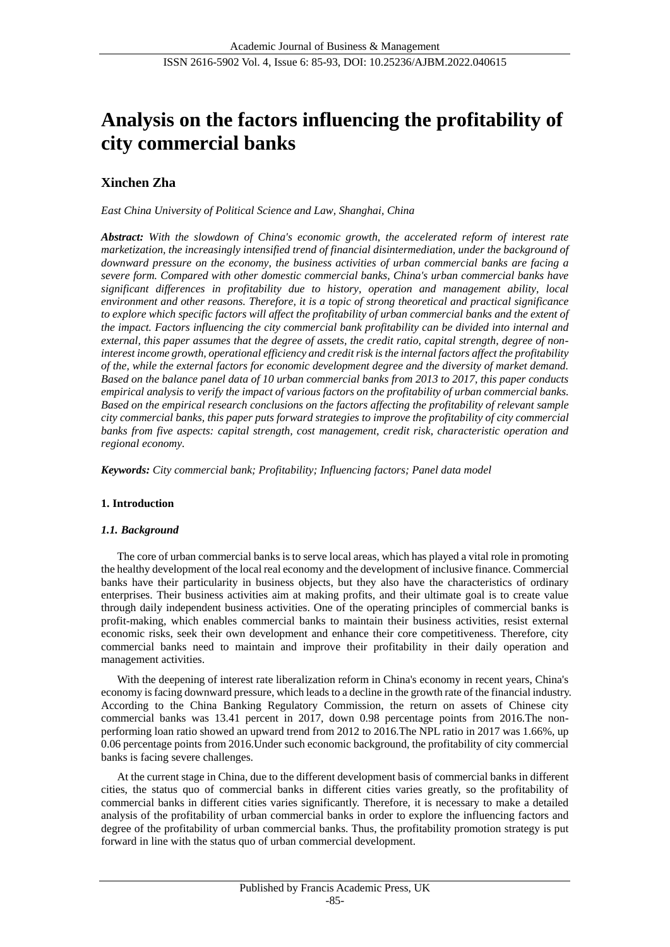# **Analysis on the factors influencing the profitability of city commercial banks**

## **Xinchen Zha**

*East China University of Political Science and Law, Shanghai, China*

*Abstract: With the slowdown of China's economic growth, the accelerated reform of interest rate marketization, the increasingly intensified trend of financial disintermediation, under the background of downward pressure on the economy, the business activities of urban commercial banks are facing a severe form. Compared with other domestic commercial banks, China's urban commercial banks have significant differences in profitability due to history, operation and management ability, local environment and other reasons. Therefore, it is a topic of strong theoretical and practical significance to explore which specific factors will affect the profitability of urban commercial banks and the extent of the impact. Factors influencing the city commercial bank profitability can be divided into internal and external, this paper assumes that the degree of assets, the credit ratio, capital strength, degree of noninterest income growth, operational efficiency and credit risk is the internal factors affect the profitability of the, while the external factors for economic development degree and the diversity of market demand. Based on the balance panel data of 10 urban commercial banks from 2013 to 2017, this paper conducts empirical analysis to verify the impact of various factors on the profitability of urban commercial banks. Based on the empirical research conclusions on the factors affecting the profitability of relevant sample city commercial banks, this paper puts forward strategies to improve the profitability of city commercial banks from five aspects: capital strength, cost management, credit risk, characteristic operation and regional economy.*

*Keywords: City commercial bank; Profitability; Influencing factors; Panel data model*

## **1. Introduction**

## *1.1. Background*

The core of urban commercial banks is to serve local areas, which has played a vital role in promoting the healthy development of the local real economy and the development of inclusive finance. Commercial banks have their particularity in business objects, but they also have the characteristics of ordinary enterprises. Their business activities aim at making profits, and their ultimate goal is to create value through daily independent business activities. One of the operating principles of commercial banks is profit-making, which enables commercial banks to maintain their business activities, resist external economic risks, seek their own development and enhance their core competitiveness. Therefore, city commercial banks need to maintain and improve their profitability in their daily operation and management activities.

With the deepening of interest rate liberalization reform in China's economy in recent years, China's economy is facing downward pressure, which leads to a decline in the growth rate of the financial industry. According to the China Banking Regulatory Commission, the return on assets of Chinese city commercial banks was 13.41 percent in 2017, down 0.98 percentage points from 2016.The nonperforming loan ratio showed an upward trend from 2012 to 2016.The NPL ratio in 2017 was 1.66%, up 0.06 percentage points from 2016.Under such economic background, the profitability of city commercial banks is facing severe challenges.

At the current stage in China, due to the different development basis of commercial banks in different cities, the status quo of commercial banks in different cities varies greatly, so the profitability of commercial banks in different cities varies significantly. Therefore, it is necessary to make a detailed analysis of the profitability of urban commercial banks in order to explore the influencing factors and degree of the profitability of urban commercial banks. Thus, the profitability promotion strategy is put forward in line with the status quo of urban commercial development.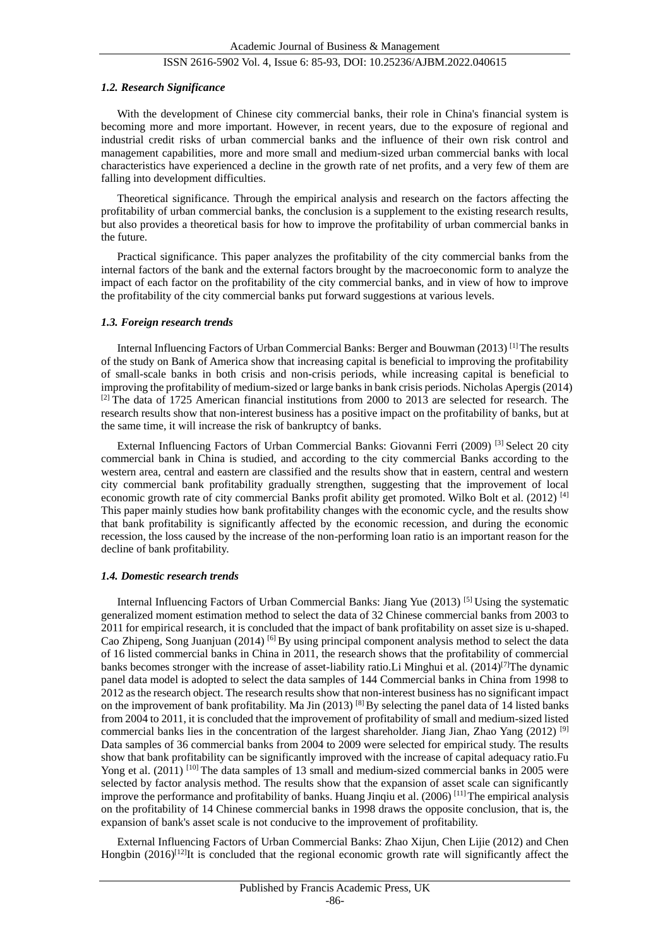#### *1.2. Research Significance*

With the development of Chinese city commercial banks, their role in China's financial system is becoming more and more important. However, in recent years, due to the exposure of regional and industrial credit risks of urban commercial banks and the influence of their own risk control and management capabilities, more and more small and medium-sized urban commercial banks with local characteristics have experienced a decline in the growth rate of net profits, and a very few of them are falling into development difficulties.

Theoretical significance. Through the empirical analysis and research on the factors affecting the profitability of urban commercial banks, the conclusion is a supplement to the existing research results, but also provides a theoretical basis for how to improve the profitability of urban commercial banks in the future.

Practical significance. This paper analyzes the profitability of the city commercial banks from the internal factors of the bank and the external factors brought by the macroeconomic form to analyze the impact of each factor on the profitability of the city commercial banks, and in view of how to improve the profitability of the city commercial banks put forward suggestions at various levels.

#### *1.3. Foreign research trends*

Internal Influencing Factors of Urban Commercial Banks: Berger and Bouwman (2013)<sup>[1]</sup>The results of the study on Bank of America show that increasing capital is beneficial to improving the profitability of small-scale banks in both crisis and non-crisis periods, while increasing capital is beneficial to improving the profitability of medium-sized or large banks in bank crisis periods. Nicholas Apergis (2014)  $[2]$  The data of 1725 American financial institutions from 2000 to 2013 are selected for research. The research results show that non-interest business has a positive impact on the profitability of banks, but at the same time, it will increase the risk of bankruptcy of banks.

External Influencing Factors of Urban Commercial Banks: Giovanni Ferri (2009) [3] Select 20 city commercial bank in China is studied, and according to the city commercial Banks according to the western area, central and eastern are classified and the results show that in eastern, central and western city commercial bank profitability gradually strengthen, suggesting that the improvement of local economic growth rate of city commercial Banks profit ability get promoted. Wilko Bolt et al. (2012)<sup>[4]</sup> This paper mainly studies how bank profitability changes with the economic cycle, and the results show that bank profitability is significantly affected by the economic recession, and during the economic recession, the loss caused by the increase of the non-performing loan ratio is an important reason for the decline of bank profitability.

## *1.4. Domestic research trends*

Internal Influencing Factors of Urban Commercial Banks: Jiang Yue (2013) [5] Using the systematic generalized moment estimation method to select the data of 32 Chinese commercial banks from 2003 to 2011 for empirical research, it is concluded that the impact of bank profitability on asset size is u-shaped. Cao Zhipeng, Song Juanjuan (2014) [6] By using principal component analysis method to select the data of 16 listed commercial banks in China in 2011, the research shows that the profitability of commercial banks becomes stronger with the increase of asset-liability ratio. Li Minghui et al. (2014)<sup>[7]</sup>The dynamic panel data model is adopted to select the data samples of 144 Commercial banks in China from 1998 to 2012 as the research object. The research results show that non-interest business has no significant impact on the improvement of bank profitability. Ma Jin (2013) <sup>[8]</sup> By selecting the panel data of 14 listed banks from 2004 to 2011, it is concluded that the improvement of profitability of small and medium-sized listed commercial banks lies in the concentration of the largest shareholder. Jiang Jian, Zhao Yang (2012) <sup>[9]</sup> Data samples of 36 commercial banks from 2004 to 2009 were selected for empirical study. The results show that bank profitability can be significantly improved with the increase of capital adequacy ratio.Fu Yong et al. (2011) <sup>[10]</sup> The data samples of 13 small and medium-sized commercial banks in 2005 were selected by factor analysis method. The results show that the expansion of asset scale can significantly improve the performance and profitability of banks. Huang Jinqiu et al. (2006) [11] The empirical analysis on the profitability of 14 Chinese commercial banks in 1998 draws the opposite conclusion, that is, the expansion of bank's asset scale is not conducive to the improvement of profitability.

External Influencing Factors of Urban Commercial Banks: Zhao Xijun, Chen Lijie (2012) and Chen Hongbin  $(2016)^{[12]}$ It is concluded that the regional economic growth rate will significantly affect the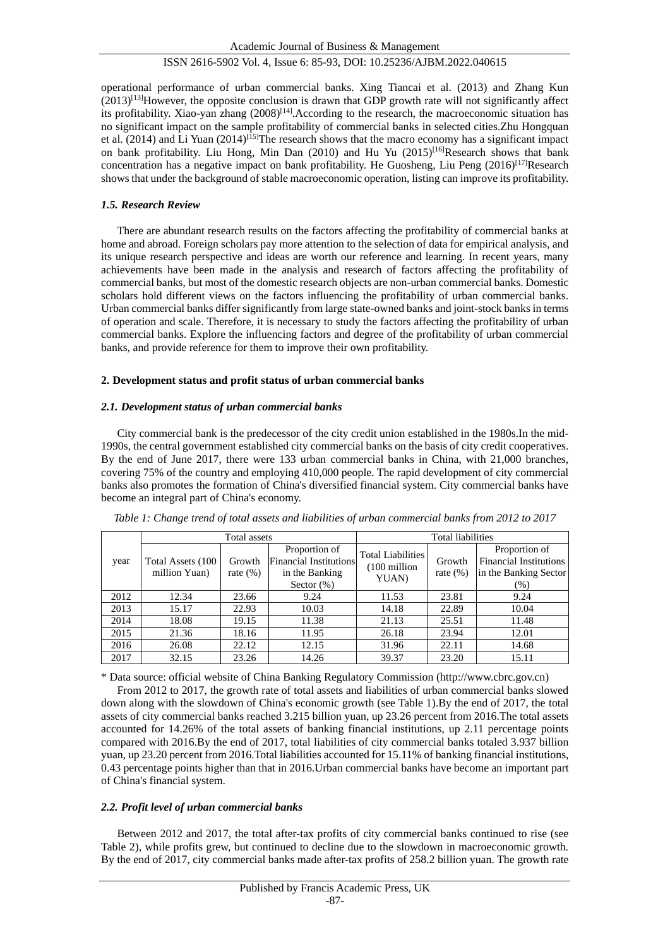operational performance of urban commercial banks. Xing Tiancai et al. (2013) and Zhang Kun  $(2013)^{[13]}$ However, the opposite conclusion is drawn that GDP growth rate will not significantly affect its profitability. Xiao-yan zhang  $(2008)^{[14]}$ . According to the research, the macroeconomic situation has no significant impact on the sample profitability of commercial banks in selected cities.Zhu Hongquan et al. (2014) and Li Yuan  $(2014)^{[15]}$ The research shows that the macro economy has a significant impact on bank profitability. Liu Hong, Min Dan (2010) and Hu Yu (2015)<sup>[16]</sup>Research shows that bank concentration has a negative impact on bank profitability. He Guosheng, Liu Peng (2016)<sup>[17]</sup>Research shows that under the background of stable macroeconomic operation, listing can improve its profitability.

#### *1.5. Research Review*

There are abundant research results on the factors affecting the profitability of commercial banks at home and abroad. Foreign scholars pay more attention to the selection of data for empirical analysis, and its unique research perspective and ideas are worth our reference and learning. In recent years, many achievements have been made in the analysis and research of factors affecting the profitability of commercial banks, but most of the domestic research objects are non-urban commercial banks. Domestic scholars hold different views on the factors influencing the profitability of urban commercial banks. Urban commercial banks differ significantly from large state-owned banks and joint-stock banks in terms of operation and scale. Therefore, it is necessary to study the factors affecting the profitability of urban commercial banks. Explore the influencing factors and degree of the profitability of urban commercial banks, and provide reference for them to improve their own profitability.

#### **2. Development status and profit status of urban commercial banks**

#### *2.1. Development status of urban commercial banks*

City commercial bank is the predecessor of the city credit union established in the 1980s.In the mid-1990s, the central government established city commercial banks on the basis of city credit cooperatives. By the end of June 2017, there were 133 urban commercial banks in China, with 21,000 branches, covering 75% of the country and employing 410,000 people. The rapid development of city commercial banks also promotes the formation of China's diversified financial system. City commercial banks have become an integral part of China's economy.

|      | Total assets                       |                       |                                                                                   | <b>Total liabilities</b>                          |                        |                                                                                   |
|------|------------------------------------|-----------------------|-----------------------------------------------------------------------------------|---------------------------------------------------|------------------------|-----------------------------------------------------------------------------------|
| year | Total Assets (100<br>million Yuan) | Growth<br>rate $(\%)$ | Proportion of<br><b>Financial Institutions</b><br>in the Banking<br>Sector $(\%)$ | <b>Total Liabilities</b><br>(100 million<br>YUAN) | Growth<br>rate $(\% )$ | Proportion of<br><b>Financial Institutions</b><br>in the Banking Sector<br>$(\%)$ |
| 2012 | 12.34                              | 23.66                 | 9.24                                                                              | 11.53                                             | 23.81                  | 9.24                                                                              |
| 2013 | 15.17                              | 22.93                 | 10.03                                                                             | 14.18                                             | 22.89                  | 10.04                                                                             |
| 2014 | 18.08                              | 19.15                 | 11.38                                                                             | 21.13                                             | 25.51                  | 11.48                                                                             |
| 2015 | 21.36                              | 18.16                 | 11.95                                                                             | 26.18                                             | 23.94                  | 12.01                                                                             |
| 2016 | 26.08                              | 22.12                 | 12.15                                                                             | 31.96                                             | 22.11                  | 14.68                                                                             |
| 2017 | 32.15                              | 23.26                 | 14.26                                                                             | 39.37                                             | 23.20                  | 15.11                                                                             |

*Table 1: Change trend of total assets and liabilities of urban commercial banks from 2012 to 2017*

\* Data source: official website of China Banking Regulatory Commission (http://www.cbrc.gov.cn)

From 2012 to 2017, the growth rate of total assets and liabilities of urban commercial banks slowed down along with the slowdown of China's economic growth (see Table 1).By the end of 2017, the total assets of city commercial banks reached 3.215 billion yuan, up 23.26 percent from 2016.The total assets accounted for 14.26% of the total assets of banking financial institutions, up 2.11 percentage points compared with 2016.By the end of 2017, total liabilities of city commercial banks totaled 3.937 billion yuan, up 23.20 percent from 2016.Total liabilities accounted for 15.11% of banking financial institutions, 0.43 percentage points higher than that in 2016.Urban commercial banks have become an important part of China's financial system.

## *2.2. Profit level of urban commercial banks*

Between 2012 and 2017, the total after-tax profits of city commercial banks continued to rise (see Table 2), while profits grew, but continued to decline due to the slowdown in macroeconomic growth. By the end of 2017, city commercial banks made after-tax profits of 258.2 billion yuan. The growth rate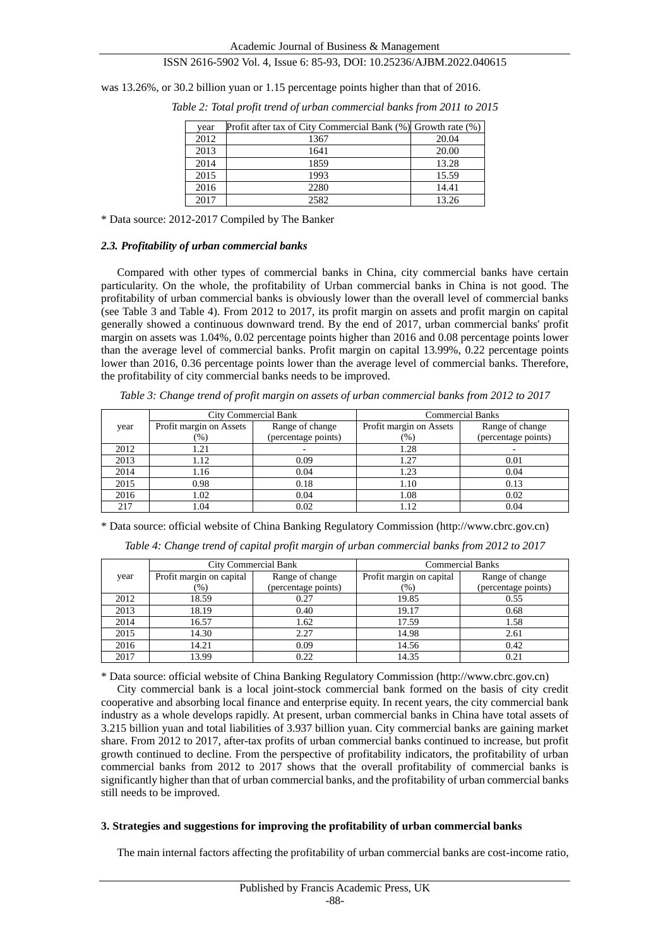was 13.26%, or 30.2 billion yuan or 1.15 percentage points higher than that of 2016.

| year | Profit after tax of City Commercial Bank (%) Growth rate (%) |       |
|------|--------------------------------------------------------------|-------|
| 2012 | 1367                                                         | 20.04 |
| 2013 | 1641                                                         | 20.00 |
| 2014 | 1859                                                         | 13.28 |
| 2015 | 1993                                                         | 15.59 |
| 2016 | 2280                                                         | 14.41 |
| 2017 | 2582                                                         | 13.26 |

*Table 2: Total profit trend of urban commercial banks from 2011 to 2015*

\* Data source: 2012-2017 Compiled by The Banker

#### *2.3. Profitability of urban commercial banks*

Compared with other types of commercial banks in China, city commercial banks have certain particularity. On the whole, the profitability of Urban commercial banks in China is not good. The profitability of urban commercial banks is obviously lower than the overall level of commercial banks (see Table 3 and Table 4). From 2012 to 2017, its profit margin on assets and profit margin on capital generally showed a continuous downward trend. By the end of 2017, urban commercial banks' profit margin on assets was 1.04%, 0.02 percentage points higher than 2016 and 0.08 percentage points lower than the average level of commercial banks. Profit margin on capital 13.99%, 0.22 percentage points lower than 2016, 0.36 percentage points lower than the average level of commercial banks. Therefore, the profitability of city commercial banks needs to be improved.

*Table 3: Change trend of profit margin on assets of urban commercial banks from 2012 to 2017*

|      | City Commercial Bank    |                     | <b>Commercial Banks</b> |                     |  |
|------|-------------------------|---------------------|-------------------------|---------------------|--|
| year | Profit margin on Assets | Range of change     | Profit margin on Assets | Range of change     |  |
|      | (%)                     | (percentage points) | (96)                    | (percentage points) |  |
| 2012 | 1.21                    |                     | 1.28                    |                     |  |
| 2013 | 1.12                    | 0.09                | 1.27                    | 0.01                |  |
| 2014 | 1.16                    | 0.04                | 1.23                    | 0.04                |  |
| 2015 | 0.98                    | 0.18                | 1.10                    | 0.13                |  |
| 2016 | 1.02                    | 0.04                | 1.08                    | 0.02                |  |
| 217  | 1.04                    | 0.02                | 1.12                    | 0.04                |  |

\* Data source: official website of China Banking Regulatory Commission (http://www.cbrc.gov.cn)

*Table 4: Change trend of capital profit margin of urban commercial banks from 2012 to 2017*

|      |                          | City Commercial Bank | <b>Commercial Banks</b>  |                     |  |
|------|--------------------------|----------------------|--------------------------|---------------------|--|
| year | Profit margin on capital | Range of change      | Profit margin on capital | Range of change     |  |
|      | $(\%)$                   | (percentage points)  | (96)                     | (percentage points) |  |
| 2012 | 18.59                    | 0.27                 | 19.85                    | 0.55                |  |
| 2013 | 18.19                    | 0.40                 | 19.17                    | 0.68                |  |
| 2014 | 16.57                    | 1.62                 | 17.59                    | 1.58                |  |
| 2015 | 14.30                    | 2.27                 | 14.98                    | 2.61                |  |
| 2016 | 14.21                    | 0.09                 | 14.56                    | 0.42                |  |
| 2017 | 13.99                    | 0.22                 | 14.35                    | 0.21                |  |

\* Data source: official website of China Banking Regulatory Commission (http://www.cbrc.gov.cn)

City commercial bank is a local joint-stock commercial bank formed on the basis of city credit cooperative and absorbing local finance and enterprise equity. In recent years, the city commercial bank industry as a whole develops rapidly. At present, urban commercial banks in China have total assets of 3.215 billion yuan and total liabilities of 3.937 billion yuan. City commercial banks are gaining market share. From 2012 to 2017, after-tax profits of urban commercial banks continued to increase, but profit growth continued to decline. From the perspective of profitability indicators, the profitability of urban commercial banks from 2012 to 2017 shows that the overall profitability of commercial banks is significantly higher than that of urban commercial banks, and the profitability of urban commercial banks still needs to be improved.

#### **3. Strategies and suggestions for improving the profitability of urban commercial banks**

The main internal factors affecting the profitability of urban commercial banks are cost-income ratio,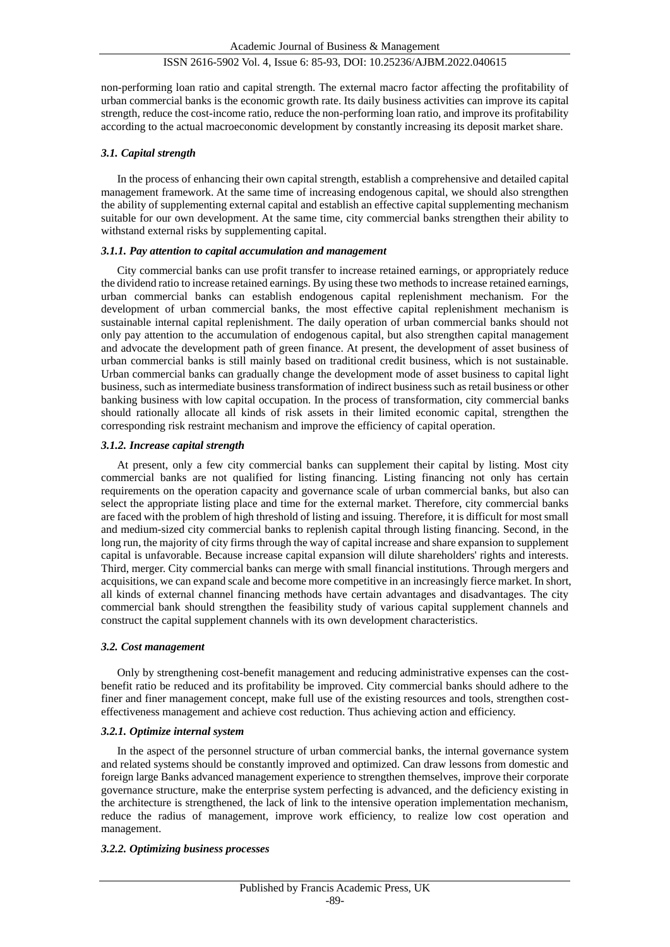non-performing loan ratio and capital strength. The external macro factor affecting the profitability of urban commercial banks is the economic growth rate. Its daily business activities can improve its capital strength, reduce the cost-income ratio, reduce the non-performing loan ratio, and improve its profitability according to the actual macroeconomic development by constantly increasing its deposit market share.

#### *3.1. Capital strength*

In the process of enhancing their own capital strength, establish a comprehensive and detailed capital management framework. At the same time of increasing endogenous capital, we should also strengthen the ability of supplementing external capital and establish an effective capital supplementing mechanism suitable for our own development. At the same time, city commercial banks strengthen their ability to withstand external risks by supplementing capital.

#### *3.1.1. Pay attention to capital accumulation and management*

City commercial banks can use profit transfer to increase retained earnings, or appropriately reduce the dividend ratio to increase retained earnings. By using these two methods to increase retained earnings, urban commercial banks can establish endogenous capital replenishment mechanism. For the development of urban commercial banks, the most effective capital replenishment mechanism is sustainable internal capital replenishment. The daily operation of urban commercial banks should not only pay attention to the accumulation of endogenous capital, but also strengthen capital management and advocate the development path of green finance. At present, the development of asset business of urban commercial banks is still mainly based on traditional credit business, which is not sustainable. Urban commercial banks can gradually change the development mode of asset business to capital light business, such as intermediate business transformation of indirect business such as retail business or other banking business with low capital occupation. In the process of transformation, city commercial banks should rationally allocate all kinds of risk assets in their limited economic capital, strengthen the corresponding risk restraint mechanism and improve the efficiency of capital operation.

#### *3.1.2. Increase capital strength*

At present, only a few city commercial banks can supplement their capital by listing. Most city commercial banks are not qualified for listing financing. Listing financing not only has certain requirements on the operation capacity and governance scale of urban commercial banks, but also can select the appropriate listing place and time for the external market. Therefore, city commercial banks are faced with the problem of high threshold of listing and issuing. Therefore, it is difficult for most small and medium-sized city commercial banks to replenish capital through listing financing. Second, in the long run, the majority of city firms through the way of capital increase and share expansion to supplement capital is unfavorable. Because increase capital expansion will dilute shareholders' rights and interests. Third, merger. City commercial banks can merge with small financial institutions. Through mergers and acquisitions, we can expand scale and become more competitive in an increasingly fierce market. In short, all kinds of external channel financing methods have certain advantages and disadvantages. The city commercial bank should strengthen the feasibility study of various capital supplement channels and construct the capital supplement channels with its own development characteristics.

#### *3.2. Cost management*

Only by strengthening cost-benefit management and reducing administrative expenses can the costbenefit ratio be reduced and its profitability be improved. City commercial banks should adhere to the finer and finer management concept, make full use of the existing resources and tools, strengthen costeffectiveness management and achieve cost reduction. Thus achieving action and efficiency.

## *3.2.1. Optimize internal system*

In the aspect of the personnel structure of urban commercial banks, the internal governance system and related systems should be constantly improved and optimized. Can draw lessons from domestic and foreign large Banks advanced management experience to strengthen themselves, improve their corporate governance structure, make the enterprise system perfecting is advanced, and the deficiency existing in the architecture is strengthened, the lack of link to the intensive operation implementation mechanism, reduce the radius of management, improve work efficiency, to realize low cost operation and management.

## *3.2.2. Optimizing business processes*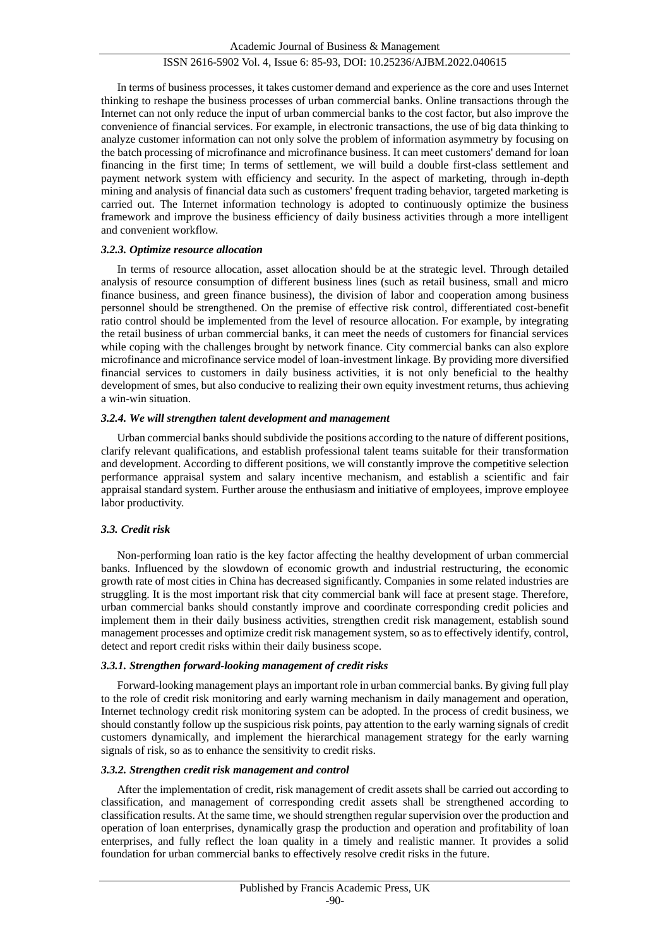In terms of business processes, it takes customer demand and experience as the core and uses Internet thinking to reshape the business processes of urban commercial banks. Online transactions through the Internet can not only reduce the input of urban commercial banks to the cost factor, but also improve the convenience of financial services. For example, in electronic transactions, the use of big data thinking to analyze customer information can not only solve the problem of information asymmetry by focusing on the batch processing of microfinance and microfinance business. It can meet customers' demand for loan financing in the first time; In terms of settlement, we will build a double first-class settlement and payment network system with efficiency and security. In the aspect of marketing, through in-depth mining and analysis of financial data such as customers' frequent trading behavior, targeted marketing is carried out. The Internet information technology is adopted to continuously optimize the business framework and improve the business efficiency of daily business activities through a more intelligent and convenient workflow.

## *3.2.3. Optimize resource allocation*

In terms of resource allocation, asset allocation should be at the strategic level. Through detailed analysis of resource consumption of different business lines (such as retail business, small and micro finance business, and green finance business), the division of labor and cooperation among business personnel should be strengthened. On the premise of effective risk control, differentiated cost-benefit ratio control should be implemented from the level of resource allocation. For example, by integrating the retail business of urban commercial banks, it can meet the needs of customers for financial services while coping with the challenges brought by network finance. City commercial banks can also explore microfinance and microfinance service model of loan-investment linkage. By providing more diversified financial services to customers in daily business activities, it is not only beneficial to the healthy development of smes, but also conducive to realizing their own equity investment returns, thus achieving a win-win situation.

## *3.2.4. We will strengthen talent development and management*

Urban commercial banks should subdivide the positions according to the nature of different positions, clarify relevant qualifications, and establish professional talent teams suitable for their transformation and development. According to different positions, we will constantly improve the competitive selection performance appraisal system and salary incentive mechanism, and establish a scientific and fair appraisal standard system. Further arouse the enthusiasm and initiative of employees, improve employee labor productivity.

## *3.3. Credit risk*

Non-performing loan ratio is the key factor affecting the healthy development of urban commercial banks. Influenced by the slowdown of economic growth and industrial restructuring, the economic growth rate of most cities in China has decreased significantly. Companies in some related industries are struggling. It is the most important risk that city commercial bank will face at present stage. Therefore, urban commercial banks should constantly improve and coordinate corresponding credit policies and implement them in their daily business activities, strengthen credit risk management, establish sound management processes and optimize credit risk management system, so as to effectively identify, control, detect and report credit risks within their daily business scope.

## *3.3.1. Strengthen forward-looking management of credit risks*

Forward-looking management plays an important role in urban commercial banks. By giving full play to the role of credit risk monitoring and early warning mechanism in daily management and operation, Internet technology credit risk monitoring system can be adopted. In the process of credit business, we should constantly follow up the suspicious risk points, pay attention to the early warning signals of credit customers dynamically, and implement the hierarchical management strategy for the early warning signals of risk, so as to enhance the sensitivity to credit risks.

## *3.3.2. Strengthen credit risk management and control*

After the implementation of credit, risk management of credit assets shall be carried out according to classification, and management of corresponding credit assets shall be strengthened according to classification results. At the same time, we should strengthen regular supervision over the production and operation of loan enterprises, dynamically grasp the production and operation and profitability of loan enterprises, and fully reflect the loan quality in a timely and realistic manner. It provides a solid foundation for urban commercial banks to effectively resolve credit risks in the future.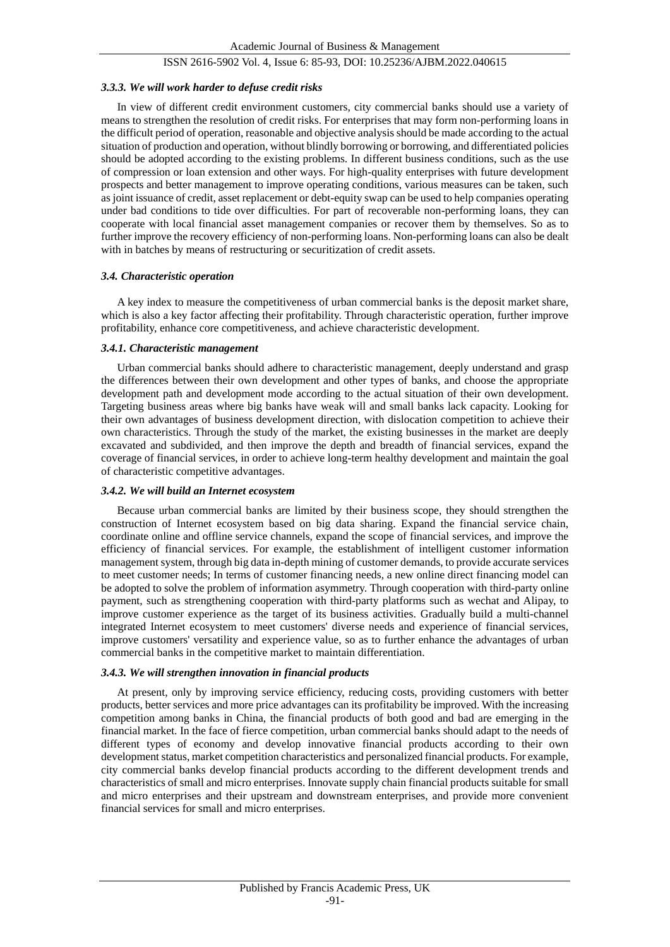#### *3.3.3. We will work harder to defuse credit risks*

In view of different credit environment customers, city commercial banks should use a variety of means to strengthen the resolution of credit risks. For enterprises that may form non-performing loans in the difficult period of operation, reasonable and objective analysis should be made according to the actual situation of production and operation, without blindly borrowing or borrowing, and differentiated policies should be adopted according to the existing problems. In different business conditions, such as the use of compression or loan extension and other ways. For high-quality enterprises with future development prospects and better management to improve operating conditions, various measures can be taken, such as joint issuance of credit, asset replacement or debt-equity swap can be used to help companies operating under bad conditions to tide over difficulties. For part of recoverable non-performing loans, they can cooperate with local financial asset management companies or recover them by themselves. So as to further improve the recovery efficiency of non-performing loans. Non-performing loans can also be dealt with in batches by means of restructuring or securitization of credit assets.

#### *3.4. Characteristic operation*

A key index to measure the competitiveness of urban commercial banks is the deposit market share, which is also a key factor affecting their profitability. Through characteristic operation, further improve profitability, enhance core competitiveness, and achieve characteristic development.

#### *3.4.1. Characteristic management*

Urban commercial banks should adhere to characteristic management, deeply understand and grasp the differences between their own development and other types of banks, and choose the appropriate development path and development mode according to the actual situation of their own development. Targeting business areas where big banks have weak will and small banks lack capacity. Looking for their own advantages of business development direction, with dislocation competition to achieve their own characteristics. Through the study of the market, the existing businesses in the market are deeply excavated and subdivided, and then improve the depth and breadth of financial services, expand the coverage of financial services, in order to achieve long-term healthy development and maintain the goal of characteristic competitive advantages.

## *3.4.2. We will build an Internet ecosystem*

Because urban commercial banks are limited by their business scope, they should strengthen the construction of Internet ecosystem based on big data sharing. Expand the financial service chain, coordinate online and offline service channels, expand the scope of financial services, and improve the efficiency of financial services. For example, the establishment of intelligent customer information management system, through big data in-depth mining of customer demands, to provide accurate services to meet customer needs; In terms of customer financing needs, a new online direct financing model can be adopted to solve the problem of information asymmetry. Through cooperation with third-party online payment, such as strengthening cooperation with third-party platforms such as wechat and Alipay, to improve customer experience as the target of its business activities. Gradually build a multi-channel integrated Internet ecosystem to meet customers' diverse needs and experience of financial services, improve customers' versatility and experience value, so as to further enhance the advantages of urban commercial banks in the competitive market to maintain differentiation.

## *3.4.3. We will strengthen innovation in financial products*

At present, only by improving service efficiency, reducing costs, providing customers with better products, better services and more price advantages can its profitability be improved. With the increasing competition among banks in China, the financial products of both good and bad are emerging in the financial market. In the face of fierce competition, urban commercial banks should adapt to the needs of different types of economy and develop innovative financial products according to their own development status, market competition characteristics and personalized financial products. For example, city commercial banks develop financial products according to the different development trends and characteristics of small and micro enterprises. Innovate supply chain financial products suitable for small and micro enterprises and their upstream and downstream enterprises, and provide more convenient financial services for small and micro enterprises.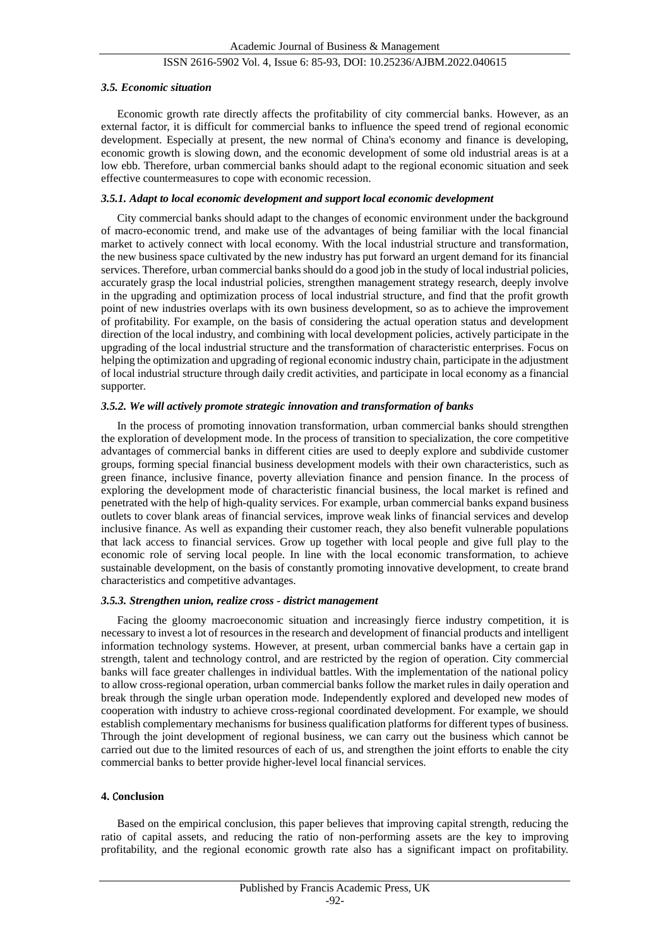#### *3.5. Economic situation*

Economic growth rate directly affects the profitability of city commercial banks. However, as an external factor, it is difficult for commercial banks to influence the speed trend of regional economic development. Especially at present, the new normal of China's economy and finance is developing, economic growth is slowing down, and the economic development of some old industrial areas is at a low ebb. Therefore, urban commercial banks should adapt to the regional economic situation and seek effective countermeasures to cope with economic recession.

#### *3.5.1. Adapt to local economic development and support local economic development*

City commercial banks should adapt to the changes of economic environment under the background of macro-economic trend, and make use of the advantages of being familiar with the local financial market to actively connect with local economy. With the local industrial structure and transformation, the new business space cultivated by the new industry has put forward an urgent demand for its financial services. Therefore, urban commercial banks should do a good job in the study of local industrial policies, accurately grasp the local industrial policies, strengthen management strategy research, deeply involve in the upgrading and optimization process of local industrial structure, and find that the profit growth point of new industries overlaps with its own business development, so as to achieve the improvement of profitability. For example, on the basis of considering the actual operation status and development direction of the local industry, and combining with local development policies, actively participate in the upgrading of the local industrial structure and the transformation of characteristic enterprises. Focus on helping the optimization and upgrading of regional economic industry chain, participate in the adjustment of local industrial structure through daily credit activities, and participate in local economy as a financial supporter.

#### *3.5.2. We will actively promote strategic innovation and transformation of banks*

In the process of promoting innovation transformation, urban commercial banks should strengthen the exploration of development mode. In the process of transition to specialization, the core competitive advantages of commercial banks in different cities are used to deeply explore and subdivide customer groups, forming special financial business development models with their own characteristics, such as green finance, inclusive finance, poverty alleviation finance and pension finance. In the process of exploring the development mode of characteristic financial business, the local market is refined and penetrated with the help of high-quality services. For example, urban commercial banks expand business outlets to cover blank areas of financial services, improve weak links of financial services and develop inclusive finance. As well as expanding their customer reach, they also benefit vulnerable populations that lack access to financial services. Grow up together with local people and give full play to the economic role of serving local people. In line with the local economic transformation, to achieve sustainable development, on the basis of constantly promoting innovative development, to create brand characteristics and competitive advantages.

#### *3.5.3. Strengthen union, realize cross - district management*

Facing the gloomy macroeconomic situation and increasingly fierce industry competition, it is necessary to invest a lot of resources in the research and development of financial products and intelligent information technology systems. However, at present, urban commercial banks have a certain gap in strength, talent and technology control, and are restricted by the region of operation. City commercial banks will face greater challenges in individual battles. With the implementation of the national policy to allow cross-regional operation, urban commercial banks follow the market rules in daily operation and break through the single urban operation mode. Independently explored and developed new modes of cooperation with industry to achieve cross-regional coordinated development. For example, we should establish complementary mechanisms for business qualification platforms for different types of business. Through the joint development of regional business, we can carry out the business which cannot be carried out due to the limited resources of each of us, and strengthen the joint efforts to enable the city commercial banks to better provide higher-level local financial services.

#### **4.** C**onclusion**

Based on the empirical conclusion, this paper believes that improving capital strength, reducing the ratio of capital assets, and reducing the ratio of non-performing assets are the key to improving profitability, and the regional economic growth rate also has a significant impact on profitability.